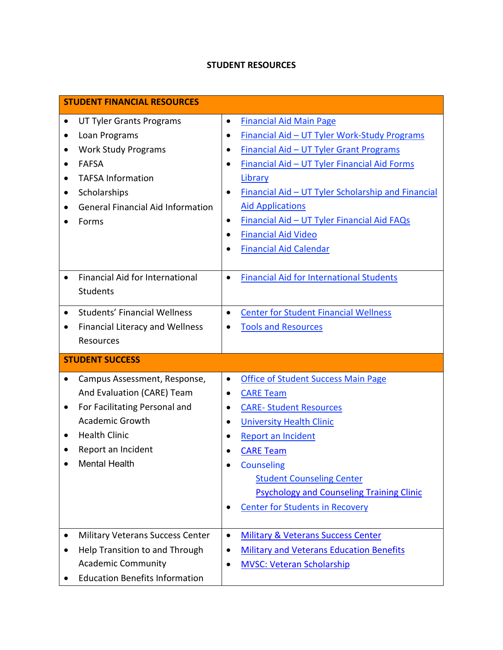## **STUDENT RESOURCES**

| <b>STUDENT FINANCIAL RESOURCES</b>                   |                                                              |  |
|------------------------------------------------------|--------------------------------------------------------------|--|
| <b>UT Tyler Grants Programs</b><br>$\bullet$         | <b>Financial Aid Main Page</b><br>$\bullet$                  |  |
| Loan Programs<br>٠                                   | Financial Aid - UT Tyler Work-Study Programs<br>$\bullet$    |  |
| <b>Work Study Programs</b><br>٠                      | Financial Aid - UT Tyler Grant Programs                      |  |
| <b>FAFSA</b><br>$\bullet$                            | Financial Aid - UT Tyler Financial Aid Forms                 |  |
| <b>TAFSA Information</b><br>$\bullet$                | Library                                                      |  |
| Scholarships<br>٠                                    | Financial Aid - UT Tyler Scholarship and Financial           |  |
| <b>General Financial Aid Information</b>             | <b>Aid Applications</b>                                      |  |
| Forms                                                | Financial Aid - UT Tyler Financial Aid FAQs<br>$\bullet$     |  |
|                                                      | <b>Financial Aid Video</b><br>$\bullet$                      |  |
|                                                      | <b>Financial Aid Calendar</b>                                |  |
|                                                      |                                                              |  |
| <b>Financial Aid for International</b><br>$\bullet$  | <b>Financial Aid for International Students</b><br>$\bullet$ |  |
| <b>Students</b>                                      |                                                              |  |
| <b>Students' Financial Wellness</b><br>$\bullet$     | <b>Center for Student Financial Wellness</b><br>$\bullet$    |  |
| <b>Financial Literacy and Wellness</b><br>$\bullet$  | <b>Tools and Resources</b>                                   |  |
| Resources                                            |                                                              |  |
|                                                      |                                                              |  |
| <b>STUDENT SUCCESS</b>                               |                                                              |  |
| Campus Assessment, Response,<br>$\bullet$            | <b>Office of Student Success Main Page</b><br>$\bullet$      |  |
| And Evaluation (CARE) Team                           | <b>CARE Team</b><br>$\bullet$                                |  |
| For Facilitating Personal and<br>$\bullet$           | <b>CARE-Student Resources</b><br>$\bullet$                   |  |
| <b>Academic Growth</b>                               | <b>University Health Clinic</b><br>$\bullet$                 |  |
| <b>Health Clinic</b><br>٠                            | <b>Report an Incident</b><br>$\bullet$                       |  |
| Report an Incident                                   | <b>CARE Team</b>                                             |  |
| <b>Mental Health</b>                                 | <b>Counseling</b>                                            |  |
|                                                      | <b>Student Counseling Center</b>                             |  |
|                                                      | <b>Psychology and Counseling Training Clinic</b>             |  |
|                                                      | <b>Center for Students in Recovery</b>                       |  |
|                                                      |                                                              |  |
| <b>Military Veterans Success Center</b><br>$\bullet$ | <b>Military &amp; Veterans Success Center</b><br>$\bullet$   |  |
| Help Transition to and Through                       | <b>Military and Veterans Education Benefits</b><br>$\bullet$ |  |
| <b>Academic Community</b>                            | <b>MVSC: Veteran Scholarship</b><br>$\bullet$                |  |
| <b>Education Benefits Information</b>                |                                                              |  |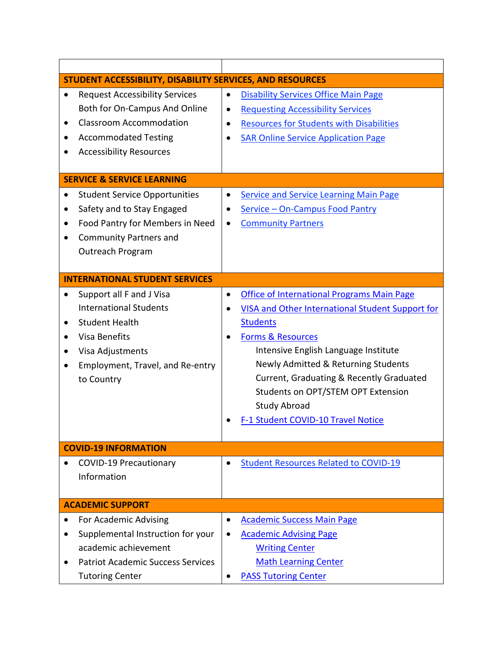| STUDENT ACCESSIBILITY, DISABILITY SERVICES, AND RESOURCES                                                                                                                              |                                                                                                                                                                                                                                 |
|----------------------------------------------------------------------------------------------------------------------------------------------------------------------------------------|---------------------------------------------------------------------------------------------------------------------------------------------------------------------------------------------------------------------------------|
| <b>Request Accessibility Services</b><br>$\bullet$<br>Both for On-Campus And Online<br><b>Classroom Accommodation</b><br><b>Accommodated Testing</b><br><b>Accessibility Resources</b> | <b>Disability Services Office Main Page</b><br>$\bullet$<br><b>Requesting Accessibility Services</b><br>$\bullet$<br><b>Resources for Students with Disabilities</b><br>$\bullet$<br><b>SAR Online Service Application Page</b> |
| <b>SERVICE &amp; SERVICE LEARNING</b>                                                                                                                                                  |                                                                                                                                                                                                                                 |
| <b>Student Service Opportunities</b><br>٠                                                                                                                                              | <b>Service and Service Learning Main Page</b><br>$\bullet$                                                                                                                                                                      |
| Safety and to Stay Engaged<br>٠                                                                                                                                                        | Service - On-Campus Food Pantry                                                                                                                                                                                                 |
| Food Pantry for Members in Need<br>٠                                                                                                                                                   | <b>Community Partners</b><br>٠                                                                                                                                                                                                  |
| <b>Community Partners and</b><br>$\bullet$                                                                                                                                             |                                                                                                                                                                                                                                 |
| Outreach Program                                                                                                                                                                       |                                                                                                                                                                                                                                 |
|                                                                                                                                                                                        |                                                                                                                                                                                                                                 |
| <b>INTERNATIONAL STUDENT SERVICES</b>                                                                                                                                                  |                                                                                                                                                                                                                                 |
| Support all F and J Visa<br>$\bullet$                                                                                                                                                  | <b>Office of International Programs Main Page</b><br>$\bullet$                                                                                                                                                                  |
| <b>International Students</b>                                                                                                                                                          | <b>VISA and Other International Student Support for</b>                                                                                                                                                                         |
| <b>Student Health</b>                                                                                                                                                                  | <b>Students</b>                                                                                                                                                                                                                 |
| Visa Benefits<br>$\bullet$                                                                                                                                                             | <b>Forms &amp; Resources</b>                                                                                                                                                                                                    |
| Visa Adjustments<br>٠                                                                                                                                                                  | Intensive English Language Institute                                                                                                                                                                                            |
| Employment, Travel, and Re-entry<br>$\bullet$                                                                                                                                          | Newly Admitted & Returning Students                                                                                                                                                                                             |
| to Country                                                                                                                                                                             | Current, Graduating & Recently Graduated                                                                                                                                                                                        |
|                                                                                                                                                                                        | Students on OPT/STEM OPT Extension                                                                                                                                                                                              |
|                                                                                                                                                                                        | <b>Study Abroad</b>                                                                                                                                                                                                             |
|                                                                                                                                                                                        | F-1 Student COVID-10 Travel Notice                                                                                                                                                                                              |
|                                                                                                                                                                                        |                                                                                                                                                                                                                                 |
| <b>COVID-19 INFORMATION</b>                                                                                                                                                            |                                                                                                                                                                                                                                 |
| <b>COVID-19 Precautionary</b>                                                                                                                                                          | <b>Student Resources Related to COVID-19</b><br>$\bullet$                                                                                                                                                                       |
| Information                                                                                                                                                                            |                                                                                                                                                                                                                                 |
|                                                                                                                                                                                        |                                                                                                                                                                                                                                 |
| <b>ACADEMIC SUPPORT</b>                                                                                                                                                                |                                                                                                                                                                                                                                 |
| For Academic Advising                                                                                                                                                                  | <b>Academic Success Main Page</b><br>$\bullet$                                                                                                                                                                                  |
| Supplemental Instruction for your                                                                                                                                                      | <b>Academic Advising Page</b>                                                                                                                                                                                                   |
| academic achievement                                                                                                                                                                   | <b>Writing Center</b>                                                                                                                                                                                                           |
| <b>Patriot Academic Success Services</b>                                                                                                                                               | <b>Math Learning Center</b>                                                                                                                                                                                                     |
| <b>Tutoring Center</b>                                                                                                                                                                 | <b>PASS Tutoring Center</b>                                                                                                                                                                                                     |